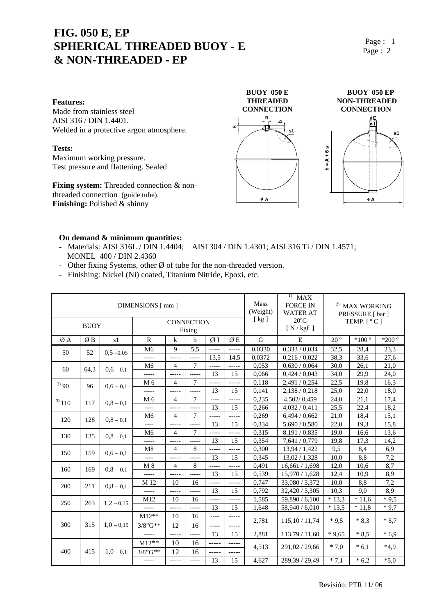## **FIG. 050 E, EP SPHERICAL THREADED BUOY - E & NON-THREADED - EP**

Page : 1 Page : 2

#### **Features:**

Made from stainless steel AISI 316 / DIN 1.4401. Welded in a protective argon atmosphere.

#### **Tests:**

Maximum working pressure. Test pressure and flattening. Sealed

**Fixing system:** Threaded connection & nonthreaded connection (guide tube). **Finishing:** Polished & shinny





#### **On demand & minimum quantities:**

- Materials: AISI 316L / DIN 1.4404; AISI 304 / DIN 1.4301; AISI 316 Ti / DIN 1.4571; MONEL 400 / DIN 2.4360

**k**

- Other fixing Systems, other  $\emptyset$  of tube for the non-threaded version.
- Finishing: Nickel (Ni) coated, Titanium Nitride, Epoxi, etc.

| DIMENSIONS [ mm ]<br><b>CONNECTION</b><br><b>BUOY</b> |      |              |                |                |        |       |             | <b>Mass</b><br>(Weight)<br>[kg] | $\left( \frac{1}{2} \right)$<br><b>MAX</b><br><b>FORCE IN</b><br><b>WATER AT</b><br>$20^{\circ}$ C<br>[N/kgf] | <sup>2)</sup> MAX WORKING<br>PRESSURE [ bar ]<br>TEMP. $[°C]$ |         |         |
|-------------------------------------------------------|------|--------------|----------------|----------------|--------|-------|-------------|---------------------------------|---------------------------------------------------------------------------------------------------------------|---------------------------------------------------------------|---------|---------|
|                                                       |      |              | Fixing         |                |        |       |             |                                 |                                                                                                               |                                                               |         |         |
| ØΑ                                                    | ØΒ   | s1           | $\mathbf R$    | $\bf k$        | b      | ØΙ    | ØΕ          | G                               | E                                                                                                             | $20^{\circ}$                                                  | $*100°$ | $*200°$ |
| 50                                                    | 52   | $0,5 -0,05$  | M <sub>6</sub> | 9              | 5.5    | ----- | -----       | 0,0330                          | 0,333/0,034                                                                                                   | 32,5                                                          | 28,4    | 23,3    |
|                                                       |      |              | -----          | $--- -$        | -----  | 13,5  | 14,5        | 0.0372                          | 0,216/0,022                                                                                                   | 38,3                                                          | 33,6    | 27,6    |
| 60                                                    | 64,3 | $0,6 - 0,1$  | M <sub>6</sub> | $\overline{4}$ | $\tau$ | ----- | $-----$     | 0,053                           | 0.630 / 0.064                                                                                                 | 30,0                                                          | 26,1    | 21,0    |
|                                                       |      |              |                | $-----$        | -----  | 13    | 15          | 0,066                           | 0,424/0,043                                                                                                   | 34,0                                                          | 29,9    | 24,0    |
| 3)90                                                  | 96   | $0,6 - 0,1$  | M <sub>6</sub> | $\overline{4}$ | $\tau$ | ----- | -----       | 0,118                           | 2,491/0,254                                                                                                   | 22,5                                                          | 19,8    | 16,3    |
|                                                       |      |              | -----          | -----          | -----  | 13    | 15          | 0,141                           | 2,138/0,218                                                                                                   | 25,0                                                          | 22,0    | 18,0    |
| $3)$ 110                                              | 117  | $0,8 - 0,1$  | M <sub>6</sub> | 4              | $\tau$ | $---$ | $--- -$     | 0.235                           | 4,502/0,459                                                                                                   | 24,0                                                          | 21,1    | 17,4    |
|                                                       |      |              |                | -----          | -----  | 13    | 15          | 0,266                           | 4,032/0,411                                                                                                   | 25,5                                                          | 22,4    | 18,2    |
| 120                                                   | 128  | $0,8 - 0,1$  | M <sub>6</sub> | $\overline{4}$ | 7      | ----- | -----       | 0,269                           | 6,494/0,662                                                                                                   | 21,0                                                          | 18,4    | 15,1    |
|                                                       |      |              | $--- -$        | -----          | -----  | 13    | 15          | 0,334                           | 5,690 / 0,580                                                                                                 | 22,0                                                          | 19.3    | 15,8    |
| 130                                                   | 135  | $0,8 - 0,1$  | M <sub>6</sub> | 4              | $\tau$ | ----- | -----       | 0,315                           | 8,191 / 0,835                                                                                                 | 19,0                                                          | 16,6    | 13,6    |
|                                                       |      |              |                | $--- -$        | -----  | 13    | 15          | 0,354                           | 7,641 / 0,779                                                                                                 | 19,8                                                          | 17,3    | 14,2    |
| 150                                                   | 159  | $0.6 - 0.1$  | M <sub>8</sub> | $\overline{4}$ | 8      | ----- | -----       | 0,300                           | 13,94 / 1,422                                                                                                 | 9,5                                                           | 8,4     | 6,9     |
|                                                       |      |              | $---$          | $-----$        | -----  | 13    | 15          | 0,345                           | 13,02/1,328                                                                                                   | 10,0                                                          | 8,8     | 7,2     |
| 160                                                   | 169  | $0,8 - 0,1$  | $M_8$          | 4              | 8      | ----- | $--- -$     | 0,491                           | 16,661/1,698                                                                                                  | 12,0                                                          | 10,6    | 8,7     |
|                                                       |      |              |                | -----          |        | 13    | 15          | 0,539                           | 15,970 / 1,628                                                                                                | 12,4                                                          | 10,9    | 8,9     |
| 200                                                   | 211  | $0,8 - 0,1$  | M 12           | 10             | 16     | ----- | -----       | 0,747                           | 33,080 / 3,372                                                                                                | 10,0                                                          | 8,8     | 7,2     |
|                                                       |      |              | -----          | $-----$        | -----  | 13    | 15          | 0,792                           | 32,420 / 3,305                                                                                                | 10,3                                                          | 9,0     | 8,9     |
| 250                                                   | 263  | $1,2 - 0,15$ | M12            | 10             | 16     | ----- | -----       | 1,585                           | 59,890 / 6,100                                                                                                | $*13.3$                                                       | $*11,6$ | $*9.5$  |
|                                                       |      |              |                | -----          | -----  | 13    | 15          | 1,648                           | 58,940 / 6,010                                                                                                | $*13.5$                                                       | $*11.8$ | $*9,7$  |
| 300                                                   | 315  | $1,0 - 0,15$ | $M12**$        | 10             | 16     | $---$ | -----       | 2,781                           | 115, 10/11, 74                                                                                                | $*9.5$                                                        | $*8,3$  | $*6,7$  |
|                                                       |      |              | $3/8$ " $G**$  | 12             | 16     | ----- | -----       |                                 |                                                                                                               |                                                               |         |         |
|                                                       |      |              | -----          | -----          | -----  | 13    | 15          | 2,881                           | 113,79/11,60                                                                                                  | $*9,65$                                                       | $*8,5$  | $*6,9$  |
| 400                                                   | 415  | $1,0 - 0,1$  | $M12**$        | 10             | 16     | ----- | $- - - - -$ | 4,513                           | 291,02 / 29,66                                                                                                | $*7.0$                                                        | $*6.1$  | $*4.9$  |
|                                                       |      |              | $3/8"G**$      | 12             | 16     | ----- | -----       |                                 |                                                                                                               |                                                               |         |         |
|                                                       |      |              | -----          | -----          | -----  | 13    | 15          | 4,627                           | 289,39 / 29,49                                                                                                | $*7,1$                                                        | $*6,2$  | $*5,0$  |